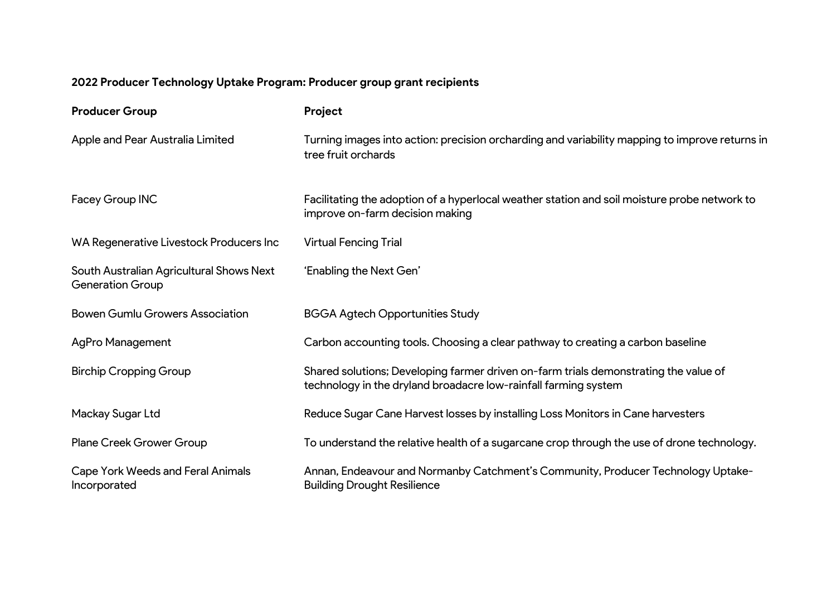## **2022 Producer Technology Uptake Program: Producer group grant recipients**

| <b>Producer Group</b>                                               | Project                                                                                                                                                 |
|---------------------------------------------------------------------|---------------------------------------------------------------------------------------------------------------------------------------------------------|
| Apple and Pear Australia Limited                                    | Turning images into action: precision orcharding and variability mapping to improve returns in<br>tree fruit orchards                                   |
| Facey Group INC                                                     | Facilitating the adoption of a hyperlocal weather station and soil moisture probe network to<br>improve on-farm decision making                         |
| WA Regenerative Livestock Producers Inc                             | <b>Virtual Fencing Trial</b>                                                                                                                            |
| South Australian Agricultural Shows Next<br><b>Generation Group</b> | 'Enabling the Next Gen'                                                                                                                                 |
| <b>Bowen Gumlu Growers Association</b>                              | <b>BGGA Agtech Opportunities Study</b>                                                                                                                  |
| <b>AgPro Management</b>                                             | Carbon accounting tools. Choosing a clear pathway to creating a carbon baseline                                                                         |
| <b>Birchip Cropping Group</b>                                       | Shared solutions; Developing farmer driven on-farm trials demonstrating the value of<br>technology in the dryland broadacre low-rainfall farming system |
| Mackay Sugar Ltd                                                    | Reduce Sugar Cane Harvest losses by installing Loss Monitors in Cane harvesters                                                                         |
| <b>Plane Creek Grower Group</b>                                     | To understand the relative health of a sugarcane crop through the use of drone technology.                                                              |
| <b>Cape York Weeds and Feral Animals</b><br>Incorporated            | Annan, Endeavour and Normanby Catchment's Community, Producer Technology Uptake-<br><b>Building Drought Resilience</b>                                  |